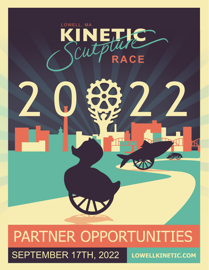

# PARTNER OPPORTUNITIES SEPTEMBER 17TH, 2022 **LOWELLKINETIC.COM**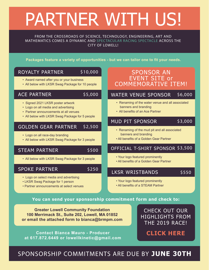# PARTNER WITH US!

FROM THE CROSSROADS OF SCIENCE, TECHNOLOGY, ENGINEERING, ART AND MATHEMATICS COMES A DYNAMIC AND SPECTACULAR RACING SPECTACLE ACROSS THE CITY OF LOWELL!

Packages feature a variety of opportunities - but we can tailor one to fit your needs.

#### ROYALTY PARTNER \$10,000

- Award named after you or your business
- All below with LKSR Swag Package for 10 people

## ACE PARTNER

\$5,000

- Signed 2021 LKSR poster artwork
- Logo on all media and advertising
- Partner announcements at all venues
- All below with LKSR Swag Package for 5 people

#### GOLDEN GEAR PARTNER \$2,500

- Logo on all race-day branding
- All below with LKSR Swag Package for 3 people

## STEAM PARTNER

### \$500

• All below with LKSR Swag Package for 3 people

## SPOKE PARTNER

- Logo on select media and advertising
- LKSR Swag Package for 1 person
- Partner announcements at select venues

## SPONSOR AN EVENT SITE or COMMEMORATIVE ITEM!

#### WATER VENUE SPONSOR \$6,000

- Renaming of the water venue and all associated banners and branding
- All benefits of an Ace Partner

#### MUD PIT SPONSOR \$3,000

- Renaming of the mud pit and all associated banners and branding
- All benefits of a Golden Gear Partner

# OFFICIAL T-SHIRT SPONSOR \$3,500

- Your logo featured prominently
- All benefits of a Golden Gear Partner

#### LKSR WRISTBANDS \$550

- Your logo featured prominently
- All benefits of a STEAM Partner

### **You can send your sponsorship commitment form and check to:**

**Greater Lowell Community Foundation 100 Merrimack St., Suite 202, Lowell, MA 01852 or email the attached form to bianca@brmpm.com**

**Contact Bianca Mauro - Producer at 617.872.6449 or lowellkinetic@gmail.com**

CHECK OUT OUR HIGHLIGHTS FROM THE 2019 RACE!

# **[CLICK HERE](https://www.youtube.com/watch?v=eOrt0ncuy4A)**

# SPONSORSHIP COMMITMENTS ARE DUE BY **JUNE 30TH**

\$250